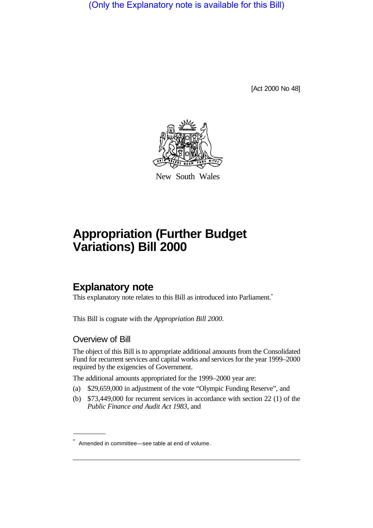(Only the Explanatory note is available for this Bill)

[Act 2000 No 48]



New South Wales

# **Appropriation (Further Budget Variations) Bill 2000**

## **Explanatory note**

This explanatory note relates to this Bill as introduced into Parliament.<sup>\*</sup>

This Bill is cognate with the *Appropriation Bill 2000*.

#### Overview of Bill

The object of this Bill is to appropriate additional amounts from the Consolidated Fund for recurrent services and capital works and services for the year 1999–2000 required by the exigencies of Government.

The additional amounts appropriated for the 1999–2000 year are:

- (a) \$29,659,000 in adjustment of the vote "Olympic Funding Reserve", and
- (b) \$73,449,000 for recurrent services in accordance with section 22 (1) of the *Public Finance and Audit Act 1983*, and

<sup>\*</sup> Amended in committee—see table at end of volume.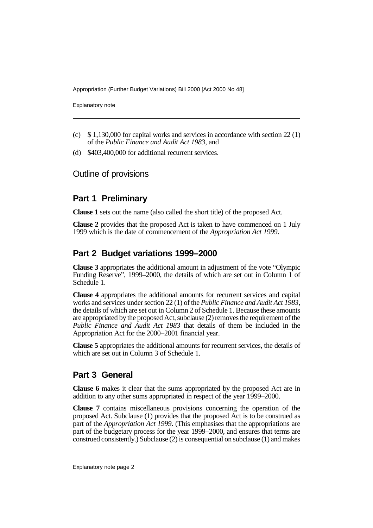Appropriation (Further Budget Variations) Bill 2000 [Act 2000 No 48]

Explanatory note

- (c) \$ 1,130,000 for capital works and services in accordance with section 22 (1) of the *Public Finance and Audit Act 1983*, and
- (d) \$403,400,000 for additional recurrent services.

### Outline of provisions

## **Part 1 Preliminary**

**Clause 1** sets out the name (also called the short title) of the proposed Act.

**Clause 2** provides that the proposed Act is taken to have commenced on 1 July 1999 which is the date of commencement of the *Appropriation Act 1999*.

## **Part 2 Budget variations 1999–2000**

**Clause 3** appropriates the additional amount in adjustment of the vote "Olympic Funding Reserve", 1999–2000, the details of which are set out in Column 1 of Schedule 1.

**Clause 4** appropriates the additional amounts for recurrent services and capital works and services under section 22 (1) of the *Public Finance and Audit Act 1983*, the details of which are set out in Column 2 of Schedule 1. Because these amounts are appropriated by the proposed Act, subclause (2) removes the requirement of the *Public Finance and Audit Act 1983* that details of them be included in the Appropriation Act for the 2000–2001 financial year.

**Clause 5** appropriates the additional amounts for recurrent services, the details of which are set out in Column 3 of Schedule 1.

## **Part 3 General**

**Clause 6** makes it clear that the sums appropriated by the proposed Act are in addition to any other sums appropriated in respect of the year 1999–2000.

**Clause 7** contains miscellaneous provisions concerning the operation of the proposed Act. Subclause (1) provides that the proposed Act is to be construed as part of the *Appropriation Act 1999*. (This emphasises that the appropriations are part of the budgetary process for the year 1999–2000, and ensures that terms are construed consistently.) Subclause (2) is consequential on subclause (1) and makes